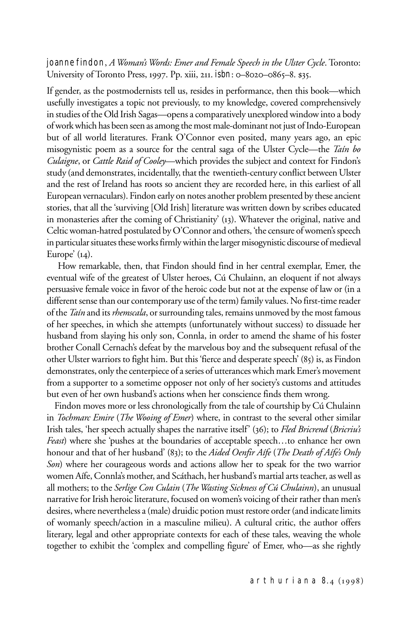joanne findon, *A Woman's Words: Emer and Female Speech in the Ulster Cycle*. Toronto: University of Toronto Press, 1997. Pp. xiii, 211. isbn: 0-8020-0865-8. \$35.

If gender, as the postmodernists tell us, resides in performance, then this book—which usefully investigates a topic not previously, to my knowledge, covered comprehensively in studies of the Old Irish Sagas—opens a comparatively unexplored window into a body of work which has been seen as among the most male-dominant not just of Indo-European but of all world literatures. Frank O'Connor even posited, many years ago, an epic misogynistic poem as a source for the central saga of the Ulster Cycle—the *Taín bo Culaigne*, or *Cattle Raid of Cooley*—which provides the subject and context for Findon's study (and demonstrates, incidentally, that the twentieth-century conflict between Ulster and the rest of Ireland has roots so ancient they are recorded here, in this earliest of all European vernaculars). Findon early on notes another problem presented by these ancient stories, that all the 'surviving [Old Irish] literature was written down by scribes educated in monasteries after the coming of Christianity' (13). Whatever the original, native and Celtic woman-hatred postulated by O'Connor and others, 'the censure of women's speech in particular situates these works firmly within the larger misogynistic discourse of medieval Europe'  $(14)$ .

 How remarkable, then, that Findon should find in her central exemplar, Emer, the eventual wife of the greatest of Ulster heroes, Cú Chulainn, an eloquent if not always persuasive female voice in favor of the heroic code but not at the expense of law or (in a different sense than our contemporary use of the term) family values. No first-time reader of the *Taín* and its *rhemscala*, or surrounding tales, remains unmoved by the most famous of her speeches, in which she attempts (unfortunately without success) to dissuade her husband from slaying his only son, Connla, in order to amend the shame of his foster brother Conall Cernach's defeat by the marvelous boy and the subsequent refusal of the other Ulster warriors to fight him. But this 'fierce and desperate speech' (85) is, as Findon demonstrates, only the centerpiece of a series of utterances which mark Emer's movement from a supporter to a sometime opposer not only of her society's customs and attitudes but even of her own husband's actions when her conscience finds them wrong.

 Findon moves more or less chronologically from the tale of courtship by Cú Chulainn in *Tochmarc Emire* (*The Wooing of Emer*) where, in contrast to the several other similar Irish tales, 'her speech actually shapes the narrative itself' (36); to *Fled Bricrend* (*Bricriu's Feast*) where she 'pushes at the boundaries of acceptable speech…to enhance her own honour and that of her husband' (83); to the *Aided Oenfir Aífe* (*The Death of Aífe's Only Son*) where her courageous words and actions allow her to speak for the two warrior women Aífe, Connla's mother, and Scáthach, her husband's martial arts teacher, as well as all mothers; to the *Serlige Con Culain* (*The Wasting Sickness of Cú Chulainn*), an unusual narrative for Irish heroic literature, focused on women's voicing of their rather than men's desires, where nevertheless a (male) druidic potion must restore order (and indicate limits of womanly speech/action in a masculine milieu). A cultural critic, the author offers literary, legal and other appropriate contexts for each of these tales, weaving the whole together to exhibit the 'complex and compelling figure' of Emer, who—as she rightly